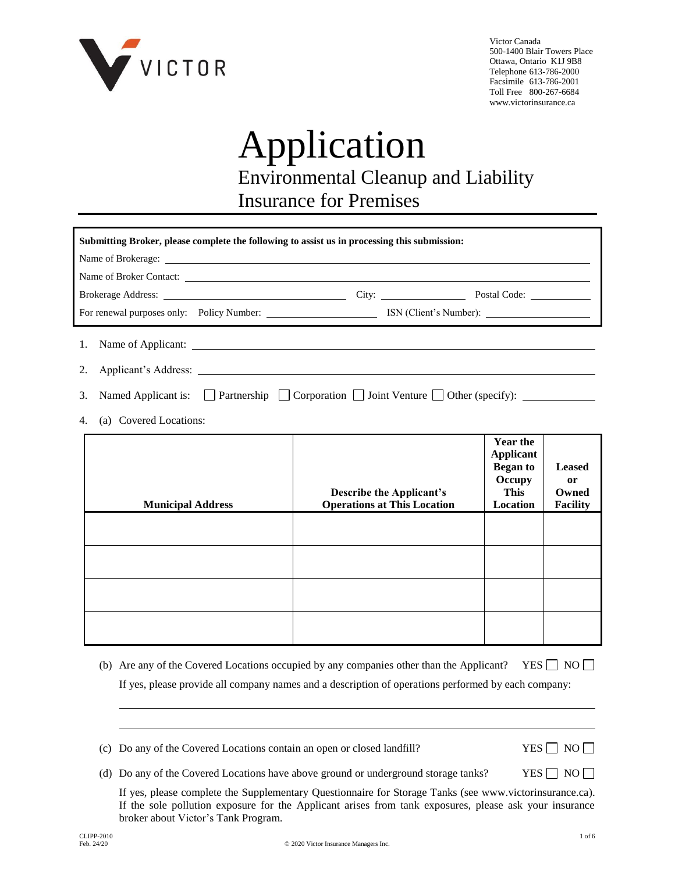

Victor Canada 500-1400 Blair Towers Place Ottawa, Ontario K1J 9B8 Telephone 613-786-2000 Facsimile 613-786-2001 Toll Free 800-267-6684 www.victorinsurance.ca

# Application Environmental Cleanup and Liability Insurance for Premises

| Submitting Broker, please complete the following to assist us in processing this submission: |                                                                       |                                                                                             |                                                 |
|----------------------------------------------------------------------------------------------|-----------------------------------------------------------------------|---------------------------------------------------------------------------------------------|-------------------------------------------------|
|                                                                                              |                                                                       |                                                                                             |                                                 |
|                                                                                              |                                                                       |                                                                                             |                                                 |
|                                                                                              |                                                                       |                                                                                             |                                                 |
|                                                                                              |                                                                       |                                                                                             |                                                 |
| 2.                                                                                           |                                                                       |                                                                                             |                                                 |
| 3.                                                                                           |                                                                       |                                                                                             |                                                 |
| (a) Covered Locations:<br>4.                                                                 |                                                                       |                                                                                             |                                                 |
| <b>Municipal Address</b>                                                                     | <b>Describe the Applicant's</b><br><b>Operations at This Location</b> | <b>Year the</b><br><b>Applicant</b><br><b>Began to</b><br>Occupy<br><b>This</b><br>Location | <b>Leased</b><br>or<br>Owned<br><b>Facility</b> |
|                                                                                              |                                                                       |                                                                                             |                                                 |
|                                                                                              |                                                                       |                                                                                             |                                                 |
|                                                                                              |                                                                       |                                                                                             |                                                 |
|                                                                                              |                                                                       |                                                                                             |                                                 |

(b) Are any of the Covered Locations occupied by any companies other than the Applicant? YES  $\Box$  NO  $\Box$ If yes, please provide all company names and a description of operations performed by each company:

(c) Do any of the Covered Locations contain an open or closed landfill? YES  $\Box$  NO  $\Box$ 

(d) Do any of the Covered Locations have above ground or underground storage tanks? YES  $\Box$  NO  $\Box$ 

If yes, please complete the Supplementary Questionnaire for Storage Tanks (see www.victorinsurance.ca). If the sole pollution exposure for the Applicant arises from tank exposures, please ask your insurance broker about Victor's Tank Program.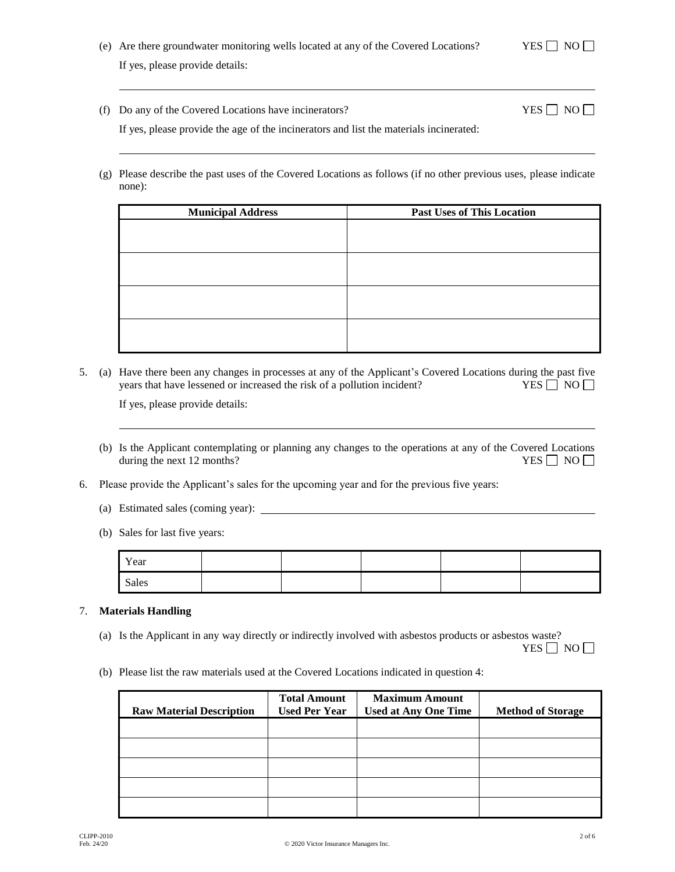| (e) Are there groundwater monitoring wells located at any of the Covered Locations? |
|-------------------------------------------------------------------------------------|
| If yes, please provide details:                                                     |

(f) Do any of the Covered Locations have incinerators? YES  $\Box$  NO  $\Box$ 

(g) Please describe the past uses of the Covered Locations as follows (if no other previous uses, please indicate none):

| <b>Municipal Address</b> | <b>Past Uses of This Location</b> |
|--------------------------|-----------------------------------|
|                          |                                   |
|                          |                                   |
|                          |                                   |
|                          |                                   |
|                          |                                   |
|                          |                                   |
|                          |                                   |
|                          |                                   |

5. (a) Have there been any changes in processes at any of the Applicant's Covered Locations during the past five years that have lessened or increased the risk of a pollution incident? YES  $\Box$  NO  $\Box$ 

If yes, please provide details:

- (b) Is the Applicant contemplating or planning any changes to the operations at any of the Covered Locations during the next 12 months?  $YES \Box NO \Box$ during the next 12 months?
- 6. Please provide the Applicant's sales for the upcoming year and for the previous five years:
	- (a) Estimated sales (coming year):
	- (b) Sales for last five years:

| Year  |  |  |  |
|-------|--|--|--|
| Sales |  |  |  |

# 7. **Materials Handling**

(a) Is the Applicant in any way directly or indirectly involved with asbestos products or asbestos waste?

YES  $\Box$  NO  $\Box$ 

(b) Please list the raw materials used at the Covered Locations indicated in question 4:

| <b>Raw Material Description</b> | <b>Total Amount</b><br><b>Used Per Year</b> | <b>Maximum Amount</b><br><b>Used at Any One Time</b> | <b>Method of Storage</b> |
|---------------------------------|---------------------------------------------|------------------------------------------------------|--------------------------|
|                                 |                                             |                                                      |                          |
|                                 |                                             |                                                      |                          |
|                                 |                                             |                                                      |                          |
|                                 |                                             |                                                      |                          |
|                                 |                                             |                                                      |                          |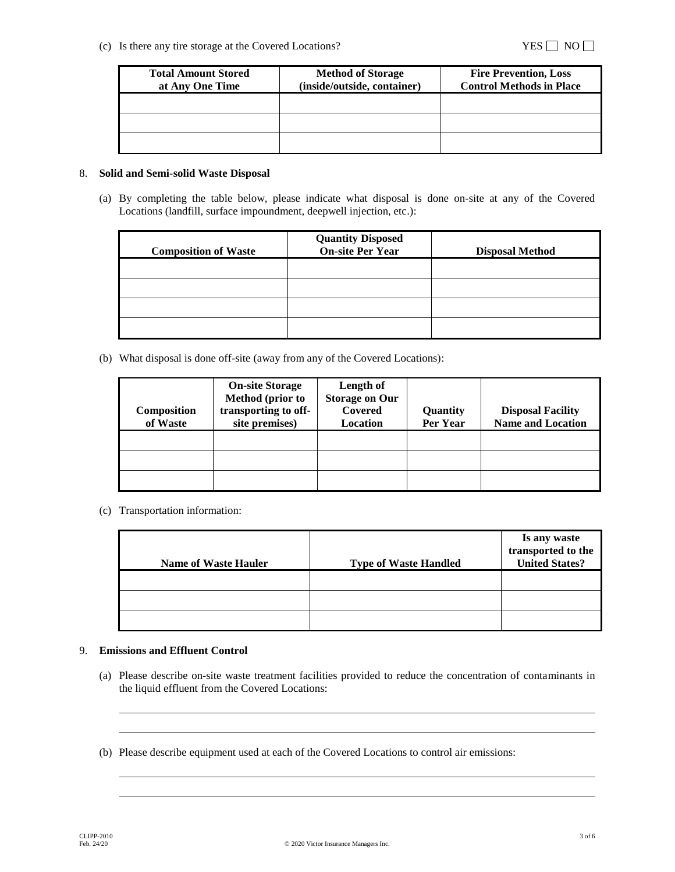(c) Is there any tire storage at the Covered Locations?  $YES \Box NO \Box$ 

| <b>Total Amount Stored</b> | <b>Method of Storage</b>    | <b>Fire Prevention, Loss</b>    |
|----------------------------|-----------------------------|---------------------------------|
| at Any One Time            | (inside/outside, container) | <b>Control Methods in Place</b> |
|                            |                             |                                 |
|                            |                             |                                 |
|                            |                             |                                 |
|                            |                             |                                 |

## 8. **Solid and Semi-solid Waste Disposal**

(a) By completing the table below, please indicate what disposal is done on-site at any of the Covered Locations (landfill, surface impoundment, deepwell injection, etc.):

| <b>Composition of Waste</b> | <b>Quantity Disposed<br/>On-site Per Year</b> | <b>Disposal Method</b> |
|-----------------------------|-----------------------------------------------|------------------------|
|                             |                                               |                        |
|                             |                                               |                        |
|                             |                                               |                        |
|                             |                                               |                        |

(b) What disposal is done off-site (away from any of the Covered Locations):

| <b>Composition</b><br>of Waste | <b>On-site Storage</b><br>Method (prior to<br>transporting to off-<br>site premises) | Length of<br><b>Storage on Our</b><br>Covered<br><b>Location</b> | Quantity<br>Per Year | <b>Disposal Facility</b><br><b>Name and Location</b> |
|--------------------------------|--------------------------------------------------------------------------------------|------------------------------------------------------------------|----------------------|------------------------------------------------------|
|                                |                                                                                      |                                                                  |                      |                                                      |
|                                |                                                                                      |                                                                  |                      |                                                      |
|                                |                                                                                      |                                                                  |                      |                                                      |

(c) Transportation information:

| <b>Name of Waste Hauler</b> | <b>Type of Waste Handled</b> | Is any waste<br>transported to the<br><b>United States?</b> |
|-----------------------------|------------------------------|-------------------------------------------------------------|
|                             |                              |                                                             |
|                             |                              |                                                             |
|                             |                              |                                                             |

## 9. **Emissions and Effluent Control**

- (a) Please describe on-site waste treatment facilities provided to reduce the concentration of contaminants in the liquid effluent from the Covered Locations:
- (b) Please describe equipment used at each of the Covered Locations to control air emissions: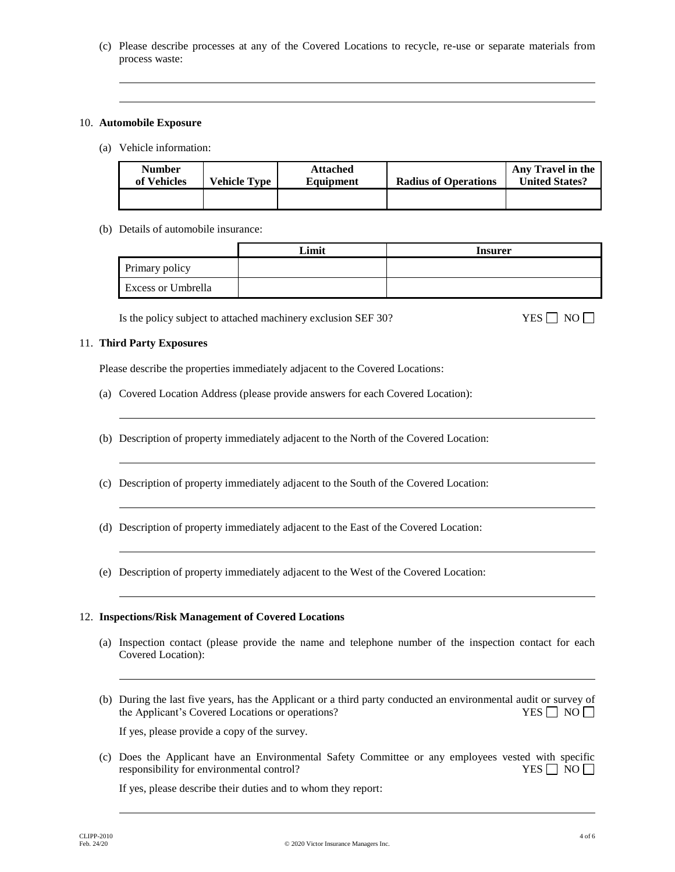(c) Please describe processes at any of the Covered Locations to recycle, re-use or separate materials from process waste:

#### 10. **Automobile Exposure**

(a) Vehicle information:

| <b>Number</b><br>of Vehicles | <b>Vehicle Type</b> | <b>Attached</b><br>Equipment | <b>Radius of Operations</b> | Any Travel in the<br><b>United States?</b> |
|------------------------------|---------------------|------------------------------|-----------------------------|--------------------------------------------|
|                              |                     |                              |                             |                                            |

(b) Details of automobile insurance:

|                           | Limit | <b>Insurer</b> |
|---------------------------|-------|----------------|
| Primary policy            |       |                |
| <b>Excess or Umbrella</b> |       |                |

Is the policy subject to attached machinery exclusion SEF 30? YES  $\Box$  NO  $\Box$ 

#### 11. **Third Party Exposures**

Please describe the properties immediately adjacent to the Covered Locations:

- (a) Covered Location Address (please provide answers for each Covered Location):
- (b) Description of property immediately adjacent to the North of the Covered Location:
- (c) Description of property immediately adjacent to the South of the Covered Location:
- (d) Description of property immediately adjacent to the East of the Covered Location:
- (e) Description of property immediately adjacent to the West of the Covered Location:

## 12. **Inspections/Risk Management of Covered Locations**

- (a) Inspection contact (please provide the name and telephone number of the inspection contact for each Covered Location):
- (b) During the last five years, has the Applicant or a third party conducted an environmental audit or survey of the Applicant's Covered Locations or operations? YES  $\Box$  NO

If yes, please provide a copy of the survey.

(c) Does the Applicant have an Environmental Safety Committee or any employees vested with specific responsibility for environmental control?  $YES \Box NO \Box$ 

If yes, please describe their duties and to whom they report: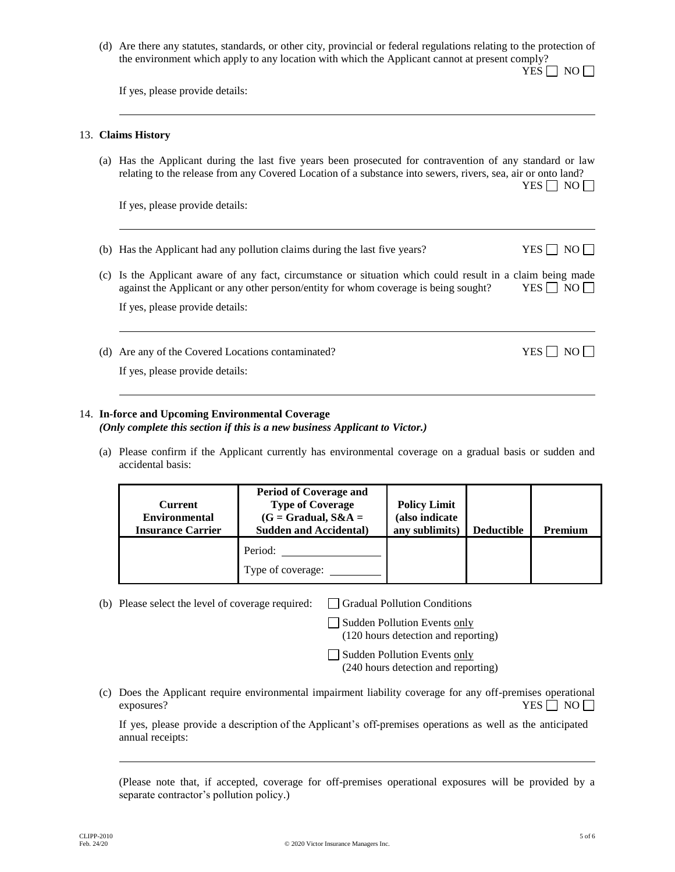(d) Are there any statutes, standards, or other city, provincial or federal regulations relating to the protection of the environment which apply to any location with which the Applicant cannot at present comply?  $YES \Box NO \Box$ 

If yes, please provide details:

#### 13. **Claims History**

(a) Has the Applicant during the last five years been prosecuted for contravention of any standard or law relating to the release from any Covered Location of a substance into sewers, rivers, sea, air or onto land?

If yes, please provide details:

- (b) Has the Applicant had any pollution claims during the last five years? YES  $\Box$  NO  $\Box$
- (c) Is the Applicant aware of any fact, circumstance or situation which could result in a claim being made against the Applicant or any other person/entity for whom coverage is being sought? YES  $\Box$  NO

If yes, please provide details:

(d) Are any of the Covered Locations contaminated?  $YES \Box NO \Box$ 

If yes, please provide details:

#### 14. **In-force and Upcoming Environmental Coverage** *(Only complete this section if this is a new business Applicant to Victor.)*

(a) Please confirm if the Applicant currently has environmental coverage on a gradual basis or sudden and accidental basis:

| <b>Current</b><br><b>Environmental</b><br><b>Insurance Carrier</b> | <b>Period of Coverage and</b><br><b>Type of Coverage</b><br>$(G = Gradual, S&A =$<br><b>Sudden and Accidental</b> ) | <b>Policy Limit</b><br>(also indicate<br>any sublimits) | <b>Deductible</b> | <b>Premium</b> |
|--------------------------------------------------------------------|---------------------------------------------------------------------------------------------------------------------|---------------------------------------------------------|-------------------|----------------|
|                                                                    | Period:<br>Type of coverage:                                                                                        |                                                         |                   |                |

(b) Please select the level of coverage required:  $\Box$  Gradual Pollution Conditions

Sudden Pollution Events only

(120 hours detection and reporting)

Sudden Pollution Events only (240 hours detection and reporting)

(c) Does the Applicant require environmental impairment liability coverage for any off-premises operational exposures?  $YES \Box NO \Box$ 

If yes, please provide a description of the Applicant's off-premises operations as well as the anticipated annual receipts:

(Please note that, if accepted, coverage for off-premises operational exposures will be provided by a separate contractor's pollution policy.)

 $YES \nightharpoonup NO \nightharpoonup$